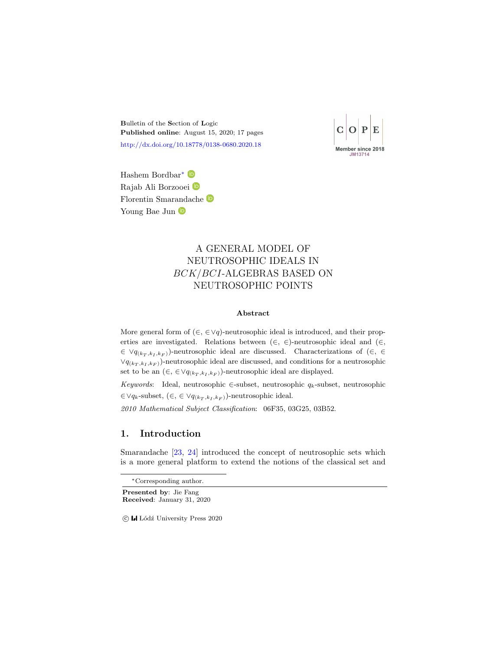Bulletin of the Section of Logic Published online: August 15, 2020; 17 pages <http://dx.doi.org/10.18778/0138-0680.2020.18>

Member since 2018

Hashem Bordbar<sup>∗</sup> Rajab Ali Borzooei Florentin Smarandache Young Bae Jun  $\bullet$ 

# A GENERAL MODEL OF NEUTROSOPHIC IDEALS IN BCK/BCI-ALGEBRAS BASED ON NEUTROSOPHIC POINTS

#### Abstract

More general form of  $(\in, \in \forall q)$ -neutrosophic ideal is introduced, and their properties are investigated. Relations between  $(\in, \in)$ -neutrosophic ideal and  $(\in, \in)$  $\in \vee q_{(k_T, k_I, k_F)}$ -neutrosophic ideal are discussed. Characterizations of  $(\in, \infty)$  $\forall q_{(k_T, k_I, k_F)}$ -neutrosophic ideal are discussed, and conditions for a neutrosophic set to be an  $(\in, \in \forall q_{(k_T, k_I, k_F)})$ -neutrosophic ideal are displayed.

Keywords: Ideal, neutrosophic ∈-subset, neutrosophic  $q_k$ -subset, neutrosophic  $\in \forall q_k$ -subset,  $(\in, \in \forall q_{(k_T, k_I, k_F)})$ -neutrosophic ideal.

2010 Mathematical Subject Classification: 06F35, 03G25, 03B52.

### 1. Introduction

Smarandache [\[23,](#page-15-0) [24\]](#page-15-1) introduced the concept of neutrosophic sets which is a more general platform to extend the notions of the classical set and

Presented by: Jie Fang Received: January 31, 2020

<sup>∗</sup>Corresponding author.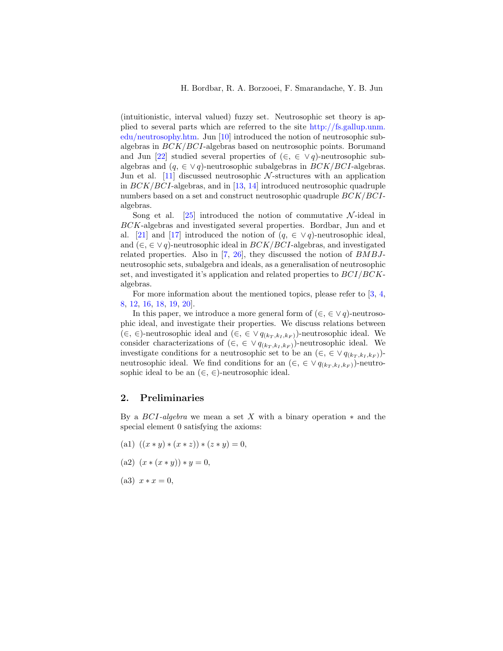(intuitionistic, interval valued) fuzzy set. Neutrosophic set theory is applied to several parts which are referred to the site [http://fs.gallup.unm.](http://fs.gallup.unm.edu/neutrosophy.htm) [edu/neutrosophy.htm.](http://fs.gallup.unm.edu/neutrosophy.htm) Jun [\[10\]](#page-14-0) introduced the notion of neutrosophic subalgebras in BCK/BCI-algebras based on neutrosophic points. Borumand and Jun [\[22\]](#page-15-2) studied several properties of  $(\in, \in \vee q)$ -neutrosophic subalgebras and  $(q, \in \vee q)$ -neutrosophic subalgebras in  $BCK/BCI$ -algebras. Jun et al.  $[11]$  discussed neutrosophic N-structures with an application in  $BCK/BCI$ -algebras, and in [\[13,](#page-14-2) [14\]](#page-14-3) introduced neutrosophic quadruple numbers based on a set and construct neutrosophic quadruple BCK/BCIalgebras.

Song et al.  $[25]$  introduced the notion of commutative N-ideal in BCK-algebras and investigated several properties. Bordbar, Jun and et al. [\[21\]](#page-15-4) and [\[17\]](#page-14-4) introduced the notion of  $(q, \in \vee q)$ -neutrosophic ideal, and  $(\in, \in \vee q)$ -neutrosophic ideal in  $BCK/BCI$ -algebras, and investigated related properties. Also in [\[7,](#page-14-5) [26\]](#page-15-5), they discussed the notion of  $BMBJ$ neutrosophic sets, subalgebra and ideals, as a generalisation of neutrosophic set, and investigated it's application and related properties to  $BCI/BCK$ algebras.

For more information about the mentioned topics, please refer to [\[3,](#page-13-0) [4,](#page-13-1) [8,](#page-14-6) [12,](#page-14-7) [16,](#page-14-8) [18,](#page-15-6) [19,](#page-15-7) [20\]](#page-15-8).

In this paper, we introduce a more general form of  $(\in, \in \vee q)$ -neutrosophic ideal, and investigate their properties. We discuss relations between  $(\in, \in)$ -neutrosophic ideal and  $(\in, \in \vee q_{(k_T, k_T, k_F)})$ -neutrosophic ideal. We consider characterizations of  $(\in, \in \vee q_{(k_T, k_I, k_F)})$ -neutrosophic ideal. We investigate conditions for a neutrosophic set to be an  $(\in, \in \vee q_{(k_T, k_I, k_F)})$ neutrosophic ideal. We find conditions for an  $(\in, \in \vee q_{(k_T, k_I, k_F)})$ -neutrosophic ideal to be an  $(\in, \in)$ -neutrosophic ideal.

### 2. Preliminaries

By a  $BCI$ -algebra we mean a set X with a binary operation  $*$  and the special element 0 satisfying the axioms:

(a1)  $((x * y) * (x * z)) * (z * y) = 0,$ 

(a2) 
$$
(x * (x * y)) * y = 0,
$$

(a3)  $x * x = 0$ ,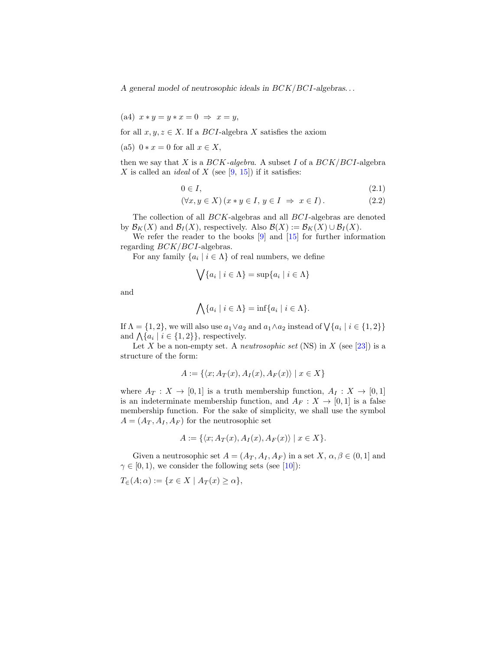(a4)  $x * y = y * x = 0 \Rightarrow x = y$ ,

for all  $x, y, z \in X$ . If a *BCI*-algebra X satisfies the axiom

(a5)  $0 * x = 0$  for all  $x \in X$ ,

then we say that X is a  $BCK$ -algebra. A subset I of a  $BCK/BCI$ -algebra X is called an *ideal* of X (see  $[9, 15]$  $[9, 15]$  $[9, 15]$ ) if it satisfies:

$$
0 \in I,\tag{2.1}
$$

$$
(\forall x, y \in X) (x * y \in I, y \in I \Rightarrow x \in I).
$$
\n
$$
(2.2)
$$

The collection of all BCK-algebras and all BCI-algebras are denoted by  $\mathcal{B}_K(X)$  and  $\mathcal{B}_I(X)$ , respectively. Also  $\mathcal{B}(X) := \mathcal{B}_K(X) \cup \mathcal{B}_I(X)$ .

We refer the reader to the books [\[9\]](#page-14-9) and [\[15\]](#page-14-10) for further information regarding BCK/BCI-algebras.

For any family  $\{a_i \mid i \in \Lambda\}$  of real numbers, we define

$$
\bigvee \{a_i \mid i \in \Lambda\} = \sup \{a_i \mid i \in \Lambda\}
$$

and

$$
\bigwedge \{a_i \mid i \in \Lambda\} = \inf \{a_i \mid i \in \Lambda\}.
$$

If  $\Lambda = \{1, 2\}$ , we will also use  $a_1 \vee a_2$  and  $a_1 \wedge a_2$  instead of  $\bigvee \{a_i \mid i \in \{1, 2\}\}\$ and  $\bigwedge \{a_i \mid i \in \{1,2\}\}\$ , respectively.

Let X be a non-empty set. A *neutrosophic set* (NS) in X (see [\[23\]](#page-15-0)) is a structure of the form:

$$
A := \{ \langle x; A_T(x), A_I(x), A_F(x) \rangle \mid x \in X \}
$$

where  $A_T : X \to [0,1]$  is a truth membership function,  $A_I : X \to [0,1]$ is an indeterminate membership function, and  $A_F : X \to [0,1]$  is a false membership function. For the sake of simplicity, we shall use the symbol  $A = (A_T, A_I, A_F)$  for the neutrosophic set

$$
A := \{ \langle x; A_T(x), A_I(x), A_F(x) \rangle \mid x \in X \}.
$$

Given a neutrosophic set  $A = (A_T, A_I, A_F)$  in a set  $X, \alpha, \beta \in (0, 1]$  and  $\gamma \in [0, 1)$ , we consider the following sets (see [\[10\]](#page-14-0)):

 $T_{\in}(A;\alpha) := \{x \in X \mid A_T(x) \geq \alpha\},\$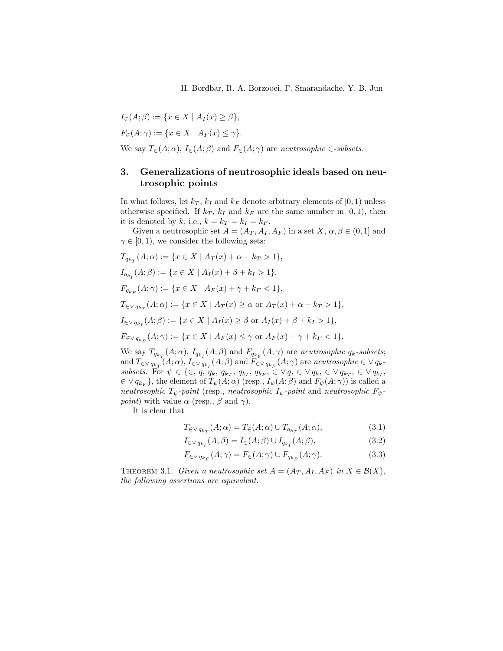$$
I_{\in}(A; \beta) := \{x \in X \mid A_I(x) \ge \beta\},\
$$
  

$$
F_{\in}(A; \gamma) := \{x \in X \mid A_F(x) \le \gamma\}.
$$

We say  $T_{\epsilon}(A; \alpha)$ ,  $I_{\epsilon}(A; \beta)$  and  $F_{\epsilon}(A; \gamma)$  are neutrosophic  $\epsilon$ -subsets.

## 3. Generalizations of neutrosophic ideals based on neutrosophic points

In what follows, let  $k_T$ ,  $k_I$  and  $k_F$  denote arbitrary elements of [0, 1) unless otherwise specified. If  $k_T$ ,  $k_I$  and  $k_F$  are the same number in [0, 1], then it is denoted by k, i.e.,  $k = k_T = k_I = k_F$ .

Given a neutrosophic set  $A = (A_T, A_I, A_F)$  in a set  $X, \alpha, \beta \in (0, 1]$  and  $\gamma \in [0, 1)$ , we consider the following sets:

$$
T_{q_{k_T}}(A; \alpha) := \{x \in X \mid A_T(x) + \alpha + k_T > 1\},
$$
  
\n
$$
I_{q_{k_I}}(A; \beta) := \{x \in X \mid A_I(x) + \beta + k_I > 1\},
$$
  
\n
$$
F_{q_{k_F}}(A; \gamma) := \{x \in X \mid A_F(x) + \gamma + k_F < 1\},
$$
  
\n
$$
T_{\in \vee q_{k_T}}(A; \alpha) := \{x \in X \mid A_T(x) \ge \alpha \text{ or } A_T(x) + \alpha + k_T > 1\},
$$
  
\n
$$
I_{\in \vee q_{k_I}}(A; \beta) := \{x \in X \mid A_I(x) \ge \beta \text{ or } A_I(x) + \beta + k_I > 1\},
$$
  
\n
$$
F_{\in \vee q_{k_F}}(A; \gamma) := \{x \in X \mid A_F(x) \le \gamma \text{ or } A_F(x) + \gamma + k_F < 1\}.
$$

We say  $T_{q_{k_T}}(A; \alpha)$ ,  $I_{q_{k_I}}(A; \beta)$  and  $F_{q_{k_F}}(A; \gamma)$  are neutrosophic  $q_k$ -subsets; and  $T_{\in \vee q_{k_T}}(A; \alpha)$ ,  $I_{\in \vee q_{k_I}}(A; \beta)$  and  $F_{\in \vee q_{k_F}}(A; \gamma)$  are neutrosophic  $\in \vee q_k$ . subsets. For ψ ∈ {∈, q, qk, qk<sup>T</sup> , qk<sup>I</sup> , qk<sup>F</sup> , ∈ ∨ q, ∈ ∨ qk, ∈ ∨ qk<sup>T</sup> , ∈ ∨ qk<sup>I</sup> ,  $\in \vee q_{k_F}$ , the element of  $T_{\psi}(A; \alpha)$  (resp.,  $I_{\psi}(A; \beta)$  and  $F_{\psi}(A; \gamma)$ ) is called a neutrosophic  $T_{\psi}$ -point (resp., neutrosophic  $I_{\psi}$ -point and neutrosophic  $F_{\psi}$ *point*) with value  $\alpha$  (resp.,  $\beta$  and  $\gamma$ ).

It is clear that

$$
T_{\in V q_{k_T}}(A; \alpha) = T_{\infty}(A; \alpha) \cup T_{q_{k_T}}(A; \alpha), \qquad (3.1)
$$

$$
I_{\in V q_{k_I}}(A;\beta) = I_{\in}(A;\beta) \cup I_{q_{k_I}}(A;\beta),
$$
\n(3.2)

$$
F_{\in V q_{k_F}}(A; \gamma) = F_{\in}(A; \gamma) \cup F_{q_{k_F}}(A; \gamma).
$$
\n(3.3)

THEOREM 3.1. Given a neutrosophic set  $A = (A_T, A_I, A_F)$  in  $X \in \mathcal{B}(X)$ , the following assertions are equivalent.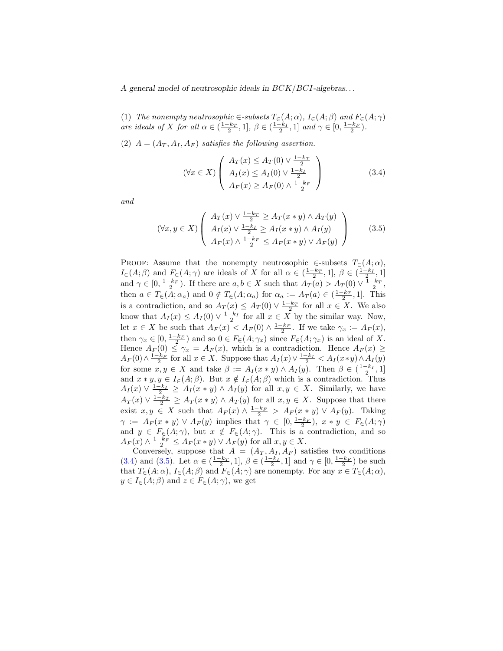(1) The nonempty neutrosophic  $\in$ -subsets  $T_{\in}(A; \alpha)$ ,  $I_{\in}(A; \beta)$  and  $F_{\in}(A; \gamma)$ are ideals of X for all  $\alpha \in (\frac{1-k_T}{2}, 1], \ \beta \in (\frac{1-k_I}{2}, 1]$  and  $\gamma \in [0, \frac{1-k_F}{2})$ .

(2)  $A = (A_T, A_I, A_F)$  satisfies the following assertion.

<span id="page-4-1"></span><span id="page-4-0"></span>
$$
(\forall x \in X) \left( \begin{array}{c} A_T(x) \le A_T(0) \vee \frac{1-k_T}{2} \\ A_I(x) \le A_I(0) \vee \frac{1-k_I}{2} \\ A_F(x) \ge A_F(0) \wedge \frac{1-k_F}{2} \end{array} \right) \tag{3.4}
$$

and

$$
(\forall x, y \in X) \left( \begin{array}{c} A_T(x) \lor \frac{1-k_T}{2} \ge A_T(x*y) \land A_T(y) \\ A_I(x) \lor \frac{1-k_I}{2} \ge A_I(x*y) \land A_I(y) \\ A_F(x) \land \frac{1-k_F}{2} \le A_F(x*y) \lor A_F(y) \end{array} \right) \tag{3.5}
$$

PROOF: Assume that the nonempty neutrosophic  $\in$ -subsets  $T_{\in}(A; \alpha)$ ,  $I_{\in}(A;\beta)$  and  $F_{\in}(A;\gamma)$  are ideals of X for all  $\alpha \in (\frac{1-k_T}{2},1], \beta \in (\frac{1-k_T}{2},1]$ and  $\gamma \in [0, \frac{1-k_F}{2})$ . If there are  $a, b \in X$  such that  $A_T(a) > A_T(0) \vee \frac{1-k_T}{2}$ , then  $a \in T_{\epsilon}(A; \alpha_a)$  and  $0 \notin T_{\epsilon}(A; \alpha_a)$  for  $\alpha_a := A_T(a) \in (\frac{1-k_T}{2}, 1]$ . This is a contradiction, and so  $A_T(x) \leq A_T(0) \vee \frac{1-k_T}{2}$  for all  $x \in X$ . We also know that  $A_I(x) \leq A_I(0) \vee \frac{1-k_I}{2}$  for all  $x \in X$  by the similar way. Now, let  $x \in X$  be such that  $A_F(x) < A_F(0) \wedge \frac{1-k_F}{2}$ . If we take  $\gamma_x := A_F(x)$ , then  $\gamma_x \in [0, \frac{1-k_F}{2})$  and so  $0 \in F_{\in}(A; \gamma_x)$  since  $F_{\in}(A; \gamma_x)$  is an ideal of X. Hence  $A_F(0) \leq \gamma_x = A_F(x)$ , which is a contradiction. Hence  $A_F(x) \geq$  $A_F(0) \wedge \frac{1-k_F}{2}$  for all  $x \in X$ . Suppose that  $A_I(x) \vee \frac{1-k_I}{2} < A_I(x*y) \wedge A_I(y)$ for some  $x, y \in X$  and take  $\beta := A_I(x * y) \wedge A_I(y)$ . Then  $\beta \in \left(\frac{1-k_I}{2}, 1\right]$ and  $x * y, y \in I_{\epsilon}(A;\beta)$ . But  $x \notin I_{\epsilon}(A;\beta)$  which is a contradiction. Thus  $A_I(x) \vee \frac{1-k_I}{2} \geq A_I(x * y) \wedge A_I(y)$  for all  $x, y \in X$ . Similarly, we have  $A_T(x) \vee \frac{1-k_T}{2} \ge A_T(x*y) \wedge A_T(y)$  for all  $x,y \in X$ . Suppose that there exist  $x, y \in X$  such that  $A_F(x) \wedge \frac{1-k_F}{2} > A_F(x*y) \vee A_F(y)$ . Taking  $\gamma := A_F(x * y) \vee A_F(y)$  implies that  $\gamma \in [0, \frac{1-k_F}{2}), x * y \in F_{\in}(A; \gamma)$ and  $y \in F_{\epsilon}(A;\gamma)$ , but  $x \notin F_{\epsilon}(A;\gamma)$ . This is a contradiction, and so  $A_F(x) \wedge \frac{1-k_F}{2} \leq A_F(x*y) \vee A_F(y)$  for all  $x, y \in X$ .

Conversely, suppose that  $A = (A_T, A_I, A_F)$  satisfies two conditions [\(3.4\)](#page-4-0) and [\(3.5\)](#page-4-1). Let  $\alpha \in (\frac{1-k_T}{2}, 1], \beta \in (\frac{1-k_I}{2}, 1]$  and  $\gamma \in [0, \frac{1-k_F}{2})$  be such that  $T_{\in}(A; \alpha)$ ,  $I_{\in}(A; \beta)$  and  $F_{\in}(A; \gamma)$  are nonempty. For any  $x \in T_{\in}(A; \alpha)$ ,  $y \in I_{\in}(A;\beta)$  and  $z \in F_{\in}(A;\gamma)$ , we get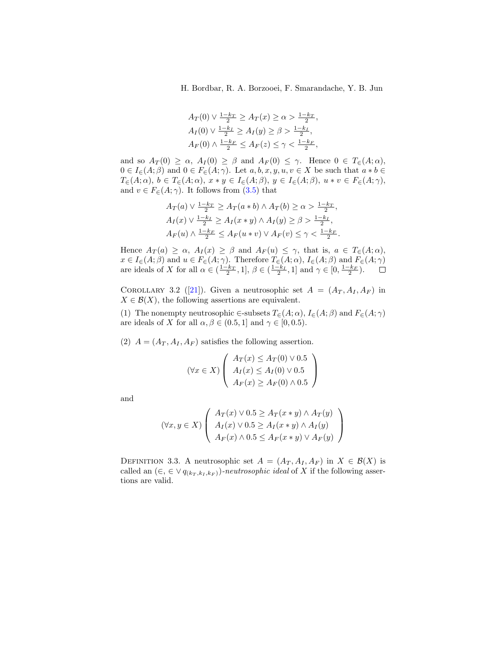H. Bordbar, R. A. Borzooei, F. Smarandache, Y. B. Jun

$$
A_T(0) \lor \frac{1 - k_T}{2} \ge A_T(x) \ge \alpha > \frac{1 - k_T}{2},
$$
  
\n
$$
A_T(0) \lor \frac{1 - k_I}{2} \ge A_T(y) \ge \beta > \frac{1 - k_I}{2},
$$
  
\n
$$
A_F(0) \land \frac{1 - k_F}{2} \le A_F(z) \le \gamma < \frac{1 - k_F}{2},
$$

and so  $A_T(0) \ge \alpha$ ,  $A_I(0) \ge \beta$  and  $A_F(0) \le \gamma$ . Hence  $0 \in T_{\epsilon}(A; \alpha)$ ,  $0 \in I_{\in}(A;\beta)$  and  $0 \in F_{\in}(A;\gamma)$ . Let  $a, b, x, y, u, v \in X$  be such that  $a * b \in$  $T_{\in}(A; \alpha)$ ,  $b \in T_{\in}(A; \alpha)$ ,  $x * y \in I_{\in}(A; \beta)$ ,  $y \in I_{\in}(A; \beta)$ ,  $u * v \in F_{\in}(A; \gamma)$ , and  $v \in F_{\in}(A; \gamma)$ . It follows from [\(3.5\)](#page-4-1) that

$$
A_T(a) \lor \frac{1-k_T}{2} \ge A_T(a*b) \land A_T(b) \ge \alpha > \frac{1-k_T}{2},
$$
  
\n
$$
A_I(x) \lor \frac{1-k_I}{2} \ge A_I(x*y) \land A_I(y) \ge \beta > \frac{1-k_I}{2},
$$
  
\n
$$
A_F(u) \land \frac{1-k_F}{2} \le A_F(u*v) \lor A_F(v) \le \gamma < \frac{1-k_F}{2}.
$$

Hence  $A_T(a) \geq \alpha$ ,  $A_T(x) \geq \beta$  and  $A_F(u) \leq \gamma$ , that is,  $a \in T_{\epsilon}(A; \alpha)$ ,  $x \in I_{\in}(A;\beta)$  and  $u \in F_{\in}(A;\gamma)$ . Therefore  $T_{\in}(A;\alpha)$ ,  $I_{\in}(A;\beta)$  and  $F_{\in}(A;\gamma)$ are ideals of X for all  $\alpha \in (\frac{1-k_T}{2}, 1], \beta \in (\frac{1-k_I}{2}, 1]$  and  $\gamma \in [0, \frac{1-k_F}{2})$ .

COROLLARY 3.2 ([\[21\]](#page-15-4)). Given a neutrosophic set  $A = (A_T, A_I, A_F)$  in  $X \in \mathcal{B}(X)$ , the following assertions are equivalent.

(1) The nonempty neutrosophic  $\in$ -subsets  $T_{\in}(A; \alpha)$ ,  $I_{\in}(A; \beta)$  and  $F_{\in}(A; \gamma)$ are ideals of X for all  $\alpha, \beta \in (0.5, 1]$  and  $\gamma \in [0, 0.5]$ .

(2)  $A = (A_T, A_I, A_F)$  satisfies the following assertion.

$$
(\forall x \in X) \left( \begin{array}{c} A_T(x) \le A_T(0) \vee 0.5 \\ A_I(x) \le A_I(0) \vee 0.5 \\ A_F(x) \ge A_F(0) \wedge 0.5 \end{array} \right)
$$

and

$$
(\forall x, y \in X) \left( \begin{array}{c} A_T(x) \lor 0.5 \ge A_T(x * y) \land A_T(y) \\ A_I(x) \lor 0.5 \ge A_I(x * y) \land A_I(y) \\ A_F(x) \land 0.5 \le A_F(x * y) \lor A_F(y) \end{array} \right)
$$

DEFINITION 3.3. A neutrosophic set  $A = (A_T, A_I, A_F)$  in  $X \in \mathcal{B}(X)$  is called an  $(\in, \in \vee q_{(k_T, k_I, k_F)})$ -neutrosophic ideal of X if the following assertions are valid.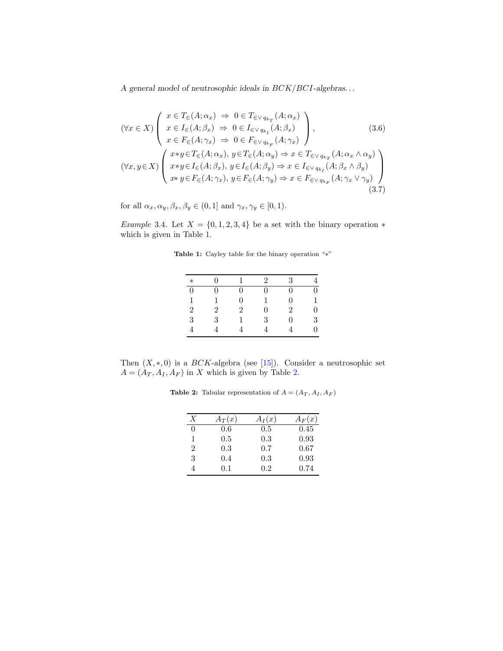$$
(\forall x \in X) \begin{pmatrix} x \in T_{\in}(A; \alpha_{x}) \Rightarrow 0 \in T_{\in \vee q_{k_{T}}}(A; \alpha_{x}) \\ x \in I_{\in}(A; \beta_{x}) \Rightarrow 0 \in I_{\in \vee q_{k_{I}}}(A; \beta_{x}) \\ x \in F_{\in}(A; \gamma_{x}) \Rightarrow 0 \in F_{\in \vee q_{k_{F}}}(A; \gamma_{x}) \end{pmatrix},
$$
(3.6)  

$$
(\forall x, y \in X) \begin{pmatrix} x*y \in T_{\in}(A; \alpha_{x}), y \in T_{\in}(A; \alpha_{y}) \Rightarrow x \in T_{\in \vee q_{k_{T}}}(A; \alpha_{x} \wedge \alpha_{y}) \\ x*y \in I_{\in}(A; \beta_{x}), y \in I_{\in}(A; \beta_{y}) \Rightarrow x \in I_{\in \vee q_{k_{I}}}(A; \beta_{x} \wedge \beta_{y}) \\ x*y \in F_{\in}(A; \gamma_{x}), y \in F_{\in}(A; \gamma_{y}) \Rightarrow x \in F_{\in \vee q_{k_{F}}}(A; \gamma_{x} \vee \gamma_{y}) \end{pmatrix}
$$
(3.7)

for all  $\alpha_x, \alpha_y, \beta_x, \beta_y \in (0, 1]$  and  $\gamma_x, \gamma_y \in [0, 1)$ .

<span id="page-6-2"></span><span id="page-6-0"></span>Example 3.4. Let  $X = \{0, 1, 2, 3, 4\}$  be a set with the binary operation  $*$ which is given in Table [1.](#page-6-0)

Table 1: Cayley table for the binary operation "∗"

| $\ast$         | ∩ |                | $\mathfrak{D}$ | 3              |   |
|----------------|---|----------------|----------------|----------------|---|
| $\Omega$       | ∩ | O              | ∩              |                |   |
| 1              |   | ∩              |                | 0              |   |
| $\overline{2}$ | 2 | $\mathfrak{D}$ | 0              | $\overline{2}$ | 0 |
| 3              | 3 |                | 3              | 0              | 3 |
|                |   |                |                |                | 0 |

<span id="page-6-1"></span>Then  $(X, *, 0)$  is a  $BCK$ -algebra (see [\[15\]](#page-14-10)). Consider a neutrosophic set  $A = (A_T, A_I, A_F)$  in X which is given by Table [2.](#page-6-1)

**Table 2:** Tabular representation of  $A = (A_T, A_I, A_F)$ 

| X | $A_T(x)$ | $A_I(x)$ | $A_F(x)$ |
|---|----------|----------|----------|
| 0 | 0.6      | 0.5      | 0.45     |
| 1 | 0.5      | 0.3      | 0.93     |
| 2 | 0.3      | 0.7      | 0.67     |
| 3 | 0.4      | 0.3      | 0.93     |
| 4 | 0.1      | 0.2      | 0.74     |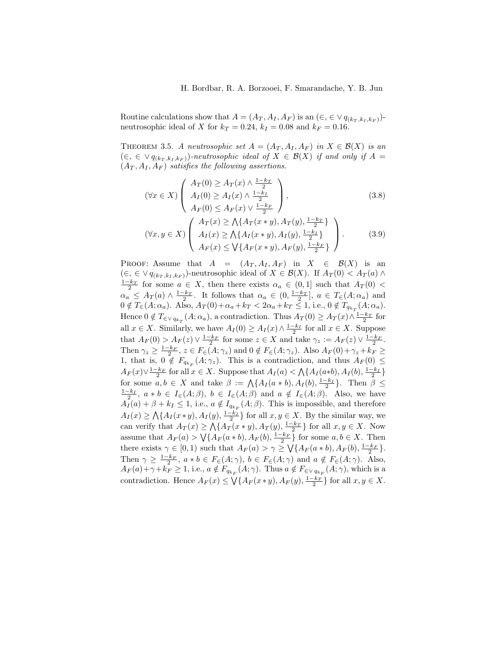Routine calculations show that  $A = (A_T, A_I, A_F)$  is an  $(\in, \in \vee q_{(k_T, k_I, k_F)})$ neutrosophic ideal of X for  $k_T = 0.24$ ,  $k_I = 0.08$  and  $k_F = 0.16$ .

<span id="page-7-2"></span>THEOREM 3.5. A neutrosophic set  $A = (A_T, A_I, A_F)$  in  $X \in \mathcal{B}(X)$  is an  $(\in, \in \vee q_{(k_T, k_I, k_F)})$ -neutrosophic ideal of  $X \in \mathcal{B}(X)$  if and only if A =  $(A_T, A_I, A_F)$  satisfies the following assertions.

<span id="page-7-1"></span><span id="page-7-0"></span>
$$
(\forall x \in X) \begin{pmatrix} A_T(0) \ge A_T(x) \land \frac{1-k_T}{2} \\ A_I(0) \ge A_I(x) \land \frac{1-k_I}{2} \\ A_F(0) \le A_F(x) \lor \frac{1-k_F}{2} \end{pmatrix},
$$
(3.8)  

$$
(\forall x, y \in X) \begin{pmatrix} A_T(x) \ge \bigwedge \{A_T(x * y), A_T(y), \frac{1-k_T}{2}\} \\ A_I(x) \ge \bigwedge \{A_I(x * y), A_I(y), \frac{1-k_I}{2}\} \\ A_F(x) \le \bigvee \{A_F(x * y), A_F(y), \frac{1-k_F}{2}\} \end{pmatrix}.
$$
 (3.9)

PROOF: Assume that  $A = (A_T, A_I, A_F)$  in  $X \in \mathcal{B}(X)$  is an  $(\in, \in \vee q_{(k_T, k_I, k_F)})$ -neutrosophic ideal of  $X \in \mathcal{B}(X)$ . If  $A_T(0) < A_T(a) \wedge$  $\frac{1-k_T}{2}$  for some  $a \in X$ , then there exists  $\alpha_a \in (0,1]$  such that  $A_T(0)$  <  $\alpha_a \leq A_T(a) \wedge \frac{1-k_T}{2}$ . It follows that  $\alpha_a \in (0, \frac{1-k_T}{2}], a \in T_{\infty}(A; \alpha_a)$  and  $0 \notin T_{\in}(A; \alpha_a)$ . Also,  $A_T(0) + \alpha_a + k_T < 2\alpha_a + k_T \le 1$ , i.e.,  $0 \notin T_{q_{k_T}}(A; \alpha_a)$ . Hence  $0 \notin T_{\in \vee q_{k_T}}(A; \alpha_a)$ , a contradiction. Thus  $A_T(0) \geq A_T(x) \wedge \frac{1-k_T}{2}$  for all  $x \in X$ . Similarly, we have  $A_I(0) \ge A_I(x) \wedge \frac{1-k_I}{2}$  for all  $x \in X$ . Suppose that  $A_F(0) > A_F(z) \vee \frac{1-k_F}{2}$  for some  $z \in X$  and take  $\gamma_z := A_F(z) \vee \frac{1-k_F}{2}$ . Then  $\gamma_z \ge \frac{1-k_F}{2}$ ,  $z \in F_{\in}(A; \gamma_z)$  and  $0 \notin F_{\in}(A; \gamma_z)$ . Also  $A_F(0) + \gamma_z + k_F \ge$ 1, that is,  $0 \notin F_{q_{k_F}}(A; \gamma_z)$ . This is a contradiction, and thus  $A_F(0) \leq$  $A_F(x) \vee \frac{1-k_F}{2}$  for all  $x \in X$ . Suppose that  $A_I(a) < \bigwedge \{A_I(a*b), A_I(b), \frac{1-k_I}{2}\}$ for some  $a, b \in X$  and take  $\beta := \bigwedge \{A_I(a * b), A_I(b), \frac{1-k_I}{2}\}.$  Then  $\beta \leq$  $\frac{1-k_I}{2}$ ,  $a * b \in I_{\in}(A;\beta)$ ,  $b \in I_{\in}(A;\beta)$  and  $a \notin I_{\in}(A;\beta)$ . Also, we have  $A_I(a) + \beta + k_I \leq 1$ , i.e.,  $a \notin I_{q_{k_F}}(A;\beta)$ . This is impossible, and therefore  $A_I(x) \ge \bigwedge \{A_I(x*y), A_I(y), \frac{1-k_I}{2}\}$  for all  $x, y \in X$ . By the similar way, we can verify that  $A_T(x) \ge \bigwedge \{A_T(x*y), A_T(y), \frac{1-k_T}{2}\}\$ for all  $x, y \in X$ . Now assume that  $A_F(a) > \sqrt{A_F(a * b), A_F(b), \frac{1-k_F}{2}}$  for some  $a, b \in X$ . Then there exists  $\gamma \in [0, 1)$  such that  $A_F(a) > \gamma \geq \sqrt{\{A_F(a * b), A_F(b), \frac{1 - k_F}{2}\}}$ . Then  $\gamma \geq \frac{1-k_F}{2}$ ,  $a * b \in F_{\in}(A; \gamma)$ ,  $b \in F_{\in}(A; \gamma)$  and  $a \notin F_{\in}(A; \gamma)$ . Also,  $A_F(a)+\gamma+k_F\geq 1$ , i.e.,  $a\notin F_{q_{k_F}}(A;\gamma)$ . Thus  $a\notin F_{\in\vee q_{k_F}}(A;\gamma)$ , which is a contradiction. Hence  $A_F(x) \le \bigvee \{A_F(x*y), A_F(y), \frac{1-k_F}{2}\}\$ for all  $x, y \in X$ .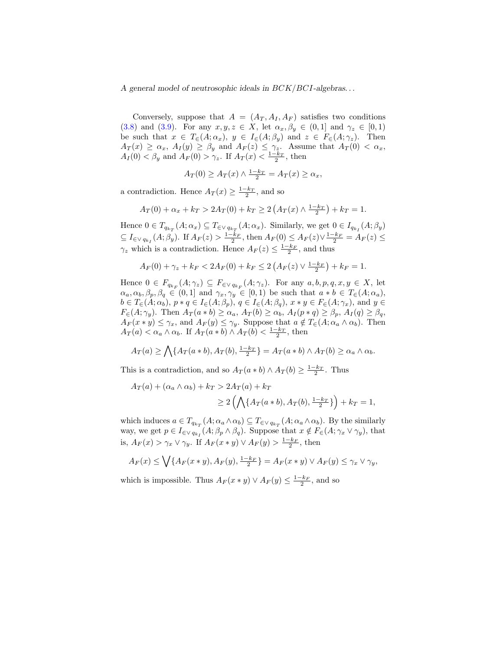Conversely, suppose that  $A = (A_T, A_I, A_F)$  satisfies two conditions [\(3.8\)](#page-7-0) and [\(3.9\)](#page-7-1). For any  $x, y, z \in X$ , let  $\alpha_x, \beta_y \in (0,1]$  and  $\gamma_z \in [0,1)$ be such that  $x \in T_{\in}(A; \alpha_x)$ ,  $y \in I_{\in}(A; \beta_y)$  and  $z \in F_{\in}(A; \gamma_z)$ . Then  $A_T(x) \ge \alpha_x$ ,  $A_T(y) \ge \beta_y$  and  $A_F(z) \le \gamma_z$ . Assume that  $A_T(0) < \alpha_x$ ,  $A_I(0) < \beta_y$  and  $A_F(0) > \gamma_z$ . If  $A_T(x) < \frac{1-k_T}{2}$ , then

$$
A_T(0) \ge A_T(x) \wedge \frac{1 - k_T}{2} = A_T(x) \ge \alpha_x,
$$

a contradiction. Hence  $A_T(x) \geq \frac{1-k_T}{2}$ , and so

$$
A_T(0) + \alpha_x + k_T > 2A_T(0) + k_T \ge 2\left(A_T(x) \wedge \frac{1 - k_T}{2}\right) + k_T = 1.
$$

Hence  $0 \in T_{q_{k_T}}(A; \alpha_x) \subseteq T_{\in \vee q_{k_T}}(A; \alpha_x)$ . Similarly, we get  $0 \in I_{q_{k_I}}(A; \beta_y)$  $\subseteq I_{\in \vee q_{k_I}}(A;\beta_y)$ . If  $A_F(z) > \frac{1-k_F}{2}$ , then  $A_F(0) \le A_F(z) \vee \frac{1-k_F}{2} = A_F(z) \le$  $\gamma_z$  which is a contradiction. Hence  $A_F(z) \leq \frac{1-k_F}{2}$ , and thus

$$
A_F(0) + \gamma_z + k_F < 2A_F(0) + k_F \leq 2\left(A_F(z) \vee \frac{1 - k_F}{2}\right) + k_F = 1.
$$

Hence  $0 \in F_{q_{k_F}}(A; \gamma_z) \subseteq F_{\in \vee q_{k_F}}(A; \gamma_z)$ . For any  $a, b, p, q, x, y \in X$ , let  $\alpha_a, \alpha_b, \beta_p, \beta_q \in (0,1]$  and  $\gamma_x, \gamma_y \in [0,1]$  be such that  $a * b \in T_{\in}(A; \alpha_a)$ ,  $b \in T_{\in}(A; \alpha_b)$ ,  $p * q \in I_{\in}(A; \beta_p)$ ,  $q \in I_{\in}(A; \beta_q)$ ,  $x * y \in F_{\in}(A; \gamma_x)$ , and  $y \in$  $F_{\epsilon}(A; \gamma_y)$ . Then  $A_T(a * b) \ge \alpha_a$ ,  $A_T(b) \ge \alpha_b$ ,  $A_I(p * q) \ge \beta_p$ ,  $A_I(q) \ge \beta_q$ ,  $A_F(x * y) \leq \gamma_x$ , and  $A_F(y) \leq \gamma_y$ . Suppose that  $a \notin T_{\infty}(A; \alpha_a \wedge \alpha_b)$ . Then  $A_T(a) < \alpha_a \wedge \alpha_b$ . If  $A_T(a * b) \wedge A_T(b) < \frac{1-k_T}{2}$ , then

$$
A_T(a) \ge \bigwedge \{A_T(a*b), A_T(b), \frac{1-k_T}{2}\} = A_T(a*b) \wedge A_T(b) \ge \alpha_a \wedge \alpha_b.
$$

This is a contradiction, and so  $A_T(a * b) \wedge A_T(b) \geq \frac{1-k_T}{2}$ . Thus

$$
A_T(a) + (\alpha_a \wedge \alpha_b) + k_T > 2A_T(a) + k_T
$$
  
\n
$$
\ge 2\left(\bigwedge \{A_T(a*b), A_T(b), \frac{1-k_T}{2}\}\right) + k_T = 1,
$$

which induces  $a \in T_{q_{k_T}}(A; \alpha_a \wedge \alpha_b) \subseteq T_{\in \vee q_{k_T}}(A; \alpha_a \wedge \alpha_b)$ . By the similarly way, we get  $p \in I_{\in \vee q_{k_I}}(A; \beta_p \wedge \beta_q)$ . Suppose that  $x \notin F_{\in}(A; \gamma_x \vee \gamma_y)$ , that is,  $A_F(x) > \gamma_x \vee \gamma_y$ . If  $A_F(x * y) \vee A_F(y) > \frac{1-k_F}{2}$ , then

$$
A_F(x) \le \bigvee \{A_F(x*y), A_F(y), \frac{1-k_F}{2}\} = A_F(x*y) \vee A_F(y) \le \gamma_x \vee \gamma_y,
$$

which is impossible. Thus  $A_F(x * y) \vee A_F(y) \leq \frac{1 - k_F}{2}$ , and so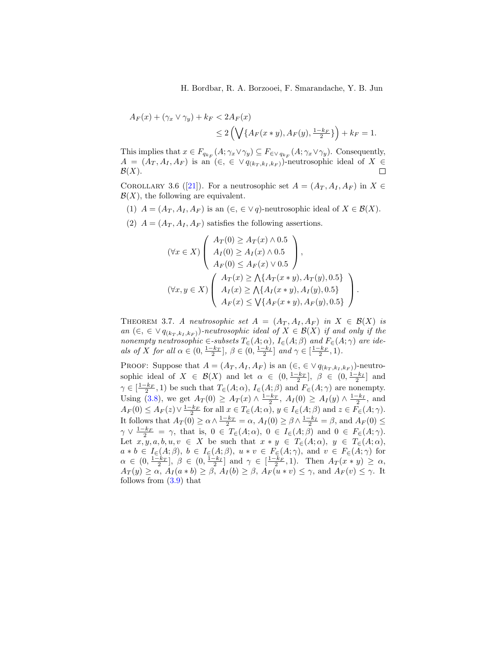H. Bordbar, R. A. Borzooei, F. Smarandache, Y. B. Jun

$$
A_F(x) + (\gamma_x \vee \gamma_y) + k_F < 2A_F(x) \\
\leq 2\left(\bigvee \{A_F(x \ast y), A_F(y), \frac{1 - k_F}{2}\}\right) + k_F = 1.
$$

This implies that  $x \in F_{q_{k_F}}(A; \gamma_x \vee \gamma_y) \subseteq F_{\in \vee q_{k_F}}(A; \gamma_x \vee \gamma_y)$ . Consequently,  $A = (A_T, A_I, A_F)$  is an  $(\in, \in \vee q_{(k_T, k_I, k_F)})$ -neutrosophic ideal of  $X \in \mathcal{B}(X)$ .  $\mathcal{B}(X)$ .

COROLLARY 3.6 ([\[21\]](#page-15-4)). For a neutrosophic set  $A = (A_T, A_I, A_F)$  in  $X \in$  $\mathcal{B}(X)$ , the following are equivalent.

(1)  $A = (A_T, A_I, A_F)$  is an  $(\in, \in \vee q)$ -neutrosophic ideal of  $X \in \mathcal{B}(X)$ .

(2)  $A = (A_T, A_I, A_F)$  satisfies the following assertions.

$$
(\forall x \in X) \left( \begin{array}{c} A_T(0) \ge A_T(x) \land 0.5 \\ A_I(0) \ge A_I(x) \land 0.5 \\ A_F(0) \le A_F(x) \lor 0.5 \end{array} \right),
$$
  

$$
(\forall x, y \in X) \left( \begin{array}{c} A_T(x) \ge \bigwedge \{ A_T(x * y), A_T(y), 0.5 \} \\ A_I(x) \ge \bigwedge \{ A_I(x * y), A_I(y), 0.5 \} \\ A_F(x) \le \bigvee \{ A_F(x * y), A_F(y), 0.5 \} \end{array} \right).
$$

THEOREM 3.7. A neutrosophic set  $A = (A_T, A_I, A_F)$  in  $X \in \mathcal{B}(X)$  is an  $(\in, \in \vee q_{(k_T, k_I, k_F)})$ -neutrosophic ideal of  $X \in \mathcal{B}(X)$  if and only if the nonempty neutrosophic  $\in$ -subsets  $T_{\in}(A; \alpha)$ ,  $I_{\in}(A; \beta)$  and  $F_{\in}(A; \gamma)$  are ideals of X for all  $\alpha \in (0, \frac{1-k_T}{2}], \ \beta \in (0, \frac{1-k_I}{2}]$  and  $\gamma \in [\frac{1-k_F}{2}, 1)$ .

PROOF: Suppose that  $A = (A_T, A_I, A_F)$  is an  $(\in, \in \vee q_{(k_T, k_I, k_F)})$ -neutrosophic ideal of  $X \in \mathcal{B}(X)$  and let  $\alpha \in (0, \frac{1-k_T}{2}], \beta \in (0, \frac{1-k_I}{2}]$  and  $\gamma \in \left[\frac{1-k_F}{2},1\right)$  be such that  $T_{\in}(A;\alpha)$ ,  $I_{\in}(A;\beta)$  and  $F_{\in}(A;\gamma)$  are nonempty. Using [\(3.8\)](#page-7-0), we get  $A_T(0) \ge A_T(x) \wedge \frac{1-k_T}{2}$ ,  $A_T(0) \ge A_T(y) \wedge \frac{1-k_T}{2}$ , and  $A_F(0) \le A_F(z) \vee \frac{1-k_F}{2}$  for all  $x \in T_{\epsilon}(A; \alpha), y \in I_{\epsilon}(A; \beta)$  and  $z \in F_{\epsilon}(A; \gamma)$ . It follows that  $A_T(0) \ge \alpha \wedge \frac{1-k_T}{2} = \alpha$ ,  $A_T(0) \ge \beta \wedge \frac{1-k_T}{2} = \beta$ , and  $A_F(0) \le$  $\gamma \vee \frac{1-k_F}{2} = \gamma$ , that is,  $0 \in T_{\in}(A; \alpha)$ ,  $0 \in I_{\in}(A; \beta)$  and  $0 \in F_{\in}(A; \gamma)$ . Let  $x, y, a, b, u, v \in X$  be such that  $x * y \in T_{\in}(A; \alpha)$ ,  $y \in T_{\in}(A; \alpha)$ ,  $a * b \in I_{\in}(A;\beta), b \in I_{\in}(A;\beta), u * v \in F_{\in}(A;\gamma), \text{ and } v \in F_{\in}(A;\gamma) \text{ for }$  $\alpha \in (0, \frac{1-k_T}{2}], \ \beta \in (0, \frac{1-k_I}{2}] \text{ and } \gamma \in [\frac{1-k_F}{2}, 1]. \text{ Then } A_T(x * y) \geq \alpha,$  $A_T(y) \ge \alpha$ ,  $A_I(a * b) \ge \beta$ ,  $A_I(b) \ge \beta$ ,  $A_F(u * v) \le \gamma$ , and  $A_F(v) \le \gamma$ . It follows from [\(3.9\)](#page-7-1) that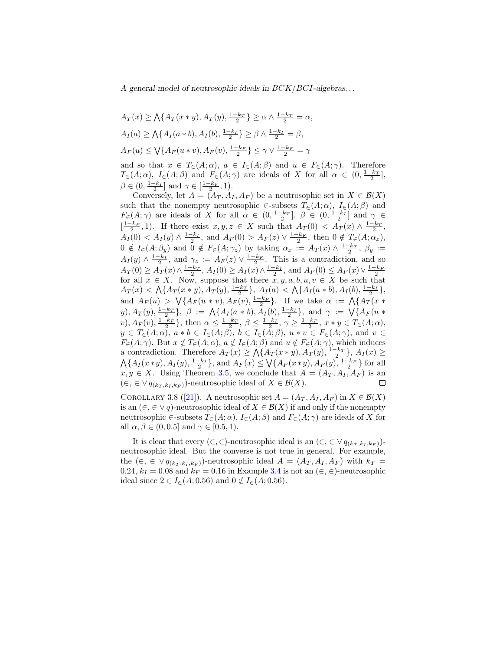$$
A_T(x) \ge \bigwedge \{A_T(x*y), A_T(y), \frac{1-k_T}{2}\} \ge \alpha \wedge \frac{1-k_T}{2} = \alpha,
$$
  
\n
$$
A_I(a) \ge \bigwedge \{A_I(a*b), A_I(b), \frac{1-k_I}{2}\} \ge \beta \wedge \frac{1-k_I}{2} = \beta,
$$
  
\n
$$
A_F(u) \le \bigvee \{A_F(u*v), A_F(v), \frac{1-k_F}{2}\} \le \gamma \vee \frac{1-k_F}{2} = \gamma
$$

and so that  $x \in T_{\in}(A; \alpha)$ ,  $a \in I_{\in}(A; \beta)$  and  $u \in F_{\in}(A; \gamma)$ . Therefore  $T_{\in}(A; \alpha)$ ,  $I_{\in}(A; \beta)$  and  $F_{\in}(A; \gamma)$  are ideals of X for all  $\alpha \in (0, \frac{1-k_T}{2}]$ ,  $\beta \in (0, \frac{1-k_I}{2}]$  and  $\gamma \in [\frac{1-k_F}{2}, 1)$ .

Conversely, let  $A = (A_T, A_I, A_F)$  be a neutrosophic set in  $X \in \mathcal{B}(X)$ such that the nonempty neutrosophic  $\in$ -subsets  $T_{\in}(A;\alpha)$ ,  $I_{\in}(A;\beta)$  and  $F_{\in}(A;\gamma)$  are ideals of X for all  $\alpha \in (0, \frac{1-k_T}{2}], \beta \in (0, \frac{1-k_I}{2}]$  and  $\gamma \in$  $\left[\frac{1-k_F}{2}, 1\right)$ . If there exist  $x, y, z \in X$  such that  $A_T(0) < A_T(x) \wedge \frac{1-k_T}{2}$ ,  $A_I(0) < A_I(y) \wedge \frac{1-k_I}{2}$ , and  $A_F(0) > A_F(z) \vee \frac{1-k_F}{2}$ , then  $0 \notin T_{\infty}(A; \alpha_x)$ ,  $0 \notin I_{\in}(A;\beta_y)$  and  $0 \notin F_{\in}(A;\gamma_z)$  by taking  $\alpha_x := A_T(x) \wedge \frac{1-k_T}{2}, \beta_y :=$  $A_I(y) \wedge \frac{1-k_I}{2}$ , and  $\gamma_z := A_F(z) \vee \frac{1-k_F}{2}$ . This is a contradiction, and so  $A_T(0) \ge A_T(x) \wedge \frac{1-k_T}{2}, A_T(0) \ge A_T(x) \wedge \frac{1-k_T}{2}, \text{ and } A_F(0) \le A_F(x) \vee \frac{1-k_F}{2}$ for all  $x \in X$ . Now, suppose that there  $x, y, a, b, u, v \in X$  be such that  $A_T(x) < \bigwedge \{A_T(x*y), A_T(y), \frac{1-k_T}{2}\}, A_I(a) < \bigwedge \{A_I(a*b), A_I(b), \frac{1-k_I}{2}\},$ and  $A_F(u) > \sqrt{A_F(u * v)}, A_F(v), \frac{1-k_F}{2}$ . If we take  $\alpha := \sqrt{A_T(x * v)}$ y),  $A_T(y)$ ,  $\frac{1-k_T}{2}$ ,  $\beta := \Lambda\{A_I(a * b), A_I(b), \frac{1-k_I}{2}\}$ , and  $\gamma := \sqrt{\{A_F(a * b), A_I(b), \frac{1-k_I}{2}\}}$ y),  $\Lambda_F(v)$ ,  $\frac{1-k_F}{2}$ ,  $\beta \in \frac{1-k_T}{2}$ ,  $\beta \le \frac{1-k_T}{2}$ ,  $\gamma \ge \frac{1-k_F}{2}$ ,  $x * y \in T_{\infty}(A; \alpha)$ ,  $y \in T_{\in}(A; \alpha)$ ,  $a * b \in I_{\in}(A; \beta)$ ,  $b \in I_{\in}(A; \beta)$ ,  $u * v \in F_{\in}(A; \gamma)$ , and  $v \in$  $F_{\in}(A; \gamma)$ . But  $x \notin T_{\in}(A; \alpha)$ ,  $a \notin I_{\in}(A; \beta)$  and  $u \notin F_{\in}(A; \gamma)$ , which induces a contradiction. Therefore  $A_T(x) \ge \bigwedge \{A_T(x*y), A_T(y), \frac{1-k_T}{2}\}, A_T(x) \ge$  $\bigwedge \{A_I(x*y), A_I(y), \frac{1-k_I}{2}\},\$  and  $A_F(x) \leq \bigvee \{A_F(x*y), A_F(y), \frac{1-k_F}{2}\}$  for all  $x, y \in X$ . Using Theorem [3.5,](#page-7-2) we conclude that  $A = (A_T, A_I, A_F)$  is an  $(\in, \in \vee q_{(k_T, k_I, k_F)})$ -neutrosophic ideal of  $X \in \mathcal{B}(X)$ .  $\Box$ 

COROLLARY 3.8 ([\[21\]](#page-15-4)). A neutrosophic set  $A = (A_T, A_I, A_F)$  in  $X \in \mathcal{B}(X)$ is an  $(\in, \in \vee q)$ -neutrosophic ideal of  $X \in \mathcal{B}(X)$  if and only if the nonempty neutrosophic ∈-subsets  $T_{\in}(A; \alpha)$ ,  $I_{\in}(A; \beta)$  and  $F_{\in}(A; \gamma)$  are ideals of X for all  $\alpha, \beta \in (0, 0.5]$  and  $\gamma \in [0.5, 1)$ .

It is clear that every  $(\in, \in)$ -neutrosophic ideal is an  $(\in, \in \vee q_{(k_T, k_I, k_F)})$ neutrosophic ideal. But the converse is not true in general. For example, the  $(\in, \in \vee q_{(k_T, k_I, k_F)})$ -neutrosophic ideal  $A = (A_T, A_I, A_F)$  with  $k_T =$ 0.24,  $k_I = 0.08$  and  $k_F = 0.16$  in Example [3.4](#page-6-2) is not an  $(\in, \in)$ -neutrosophic ideal since  $2 \in I_{\epsilon}(A; 0.56)$  and  $0 \notin I_{\epsilon}(A; 0.56)$ .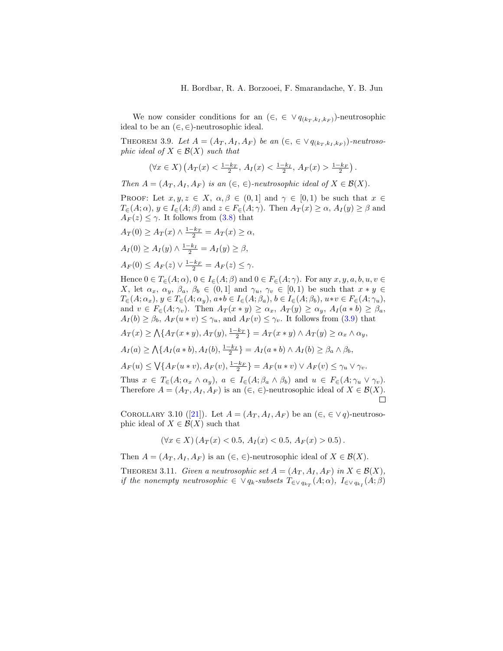We now consider conditions for an  $(\in, \in \vee q_{(k_T, k_I, k_F)})$ -neutrosophic ideal to be an  $(\in, \in)$ -neutrosophic ideal.

THEOREM 3.9. Let  $A = (A_T, A_I, A_F)$  be an  $(\epsilon, \epsilon \vee q_{(k_T, k_I, k_F)})$ -neutrosophic ideal of  $X \in \mathcal{B}(X)$  such that

$$
(\forall x \in X) \left( A_T(x) < \frac{1-k_T}{2}, A_I(x) < \frac{1-k_I}{2}, A_F(x) > \frac{1-k_F}{2} \right).
$$

Then  $A = (A_T, A_I, A_F)$  is an  $(\in, \in)$ -neutrosophic ideal of  $X \in \mathcal{B}(X)$ .

PROOF: Let  $x, y, z \in X$ ,  $\alpha, \beta \in (0,1]$  and  $\gamma \in [0,1)$  be such that  $x \in$  $T_{\epsilon}(A; \alpha)$ ,  $y \in I_{\epsilon}(A; \beta)$  and  $z \in F_{\epsilon}(A; \gamma)$ . Then  $A_T(x) \geq \alpha$ ,  $A_T(y) \geq \beta$  and  $A_F(z) \leq \gamma$ . It follows from [\(3.8\)](#page-7-0) that

$$
A_T(0) \ge A_T(x) \wedge \frac{1-k_T}{2} = A_T(x) \ge \alpha,
$$
  
\n
$$
A_I(0) \ge A_I(y) \wedge \frac{1-k_I}{2} = A_I(y) \ge \beta,
$$
  
\n
$$
A_F(0) \le A_F(z) \vee \frac{1-k_F}{2} = A_F(z) \le \gamma.
$$

Hence  $0 \in T_{\epsilon}(A; \alpha)$ ,  $0 \in I_{\epsilon}(A; \beta)$  and  $0 \in F_{\epsilon}(A; \gamma)$ . For any  $x, y, a, b, u, v \in$ X, let  $\alpha_x$ ,  $\alpha_y$ ,  $\beta_a$ ,  $\beta_b \in (0,1]$  and  $\gamma_u$ ,  $\gamma_v \in [0,1)$  be such that  $x * y \in$  $T_{\epsilon}(A; \alpha_x), y \in T_{\epsilon}(A; \alpha_y), a*b \in I_{\epsilon}(A; \beta_a), b \in I_{\epsilon}(A; \beta_b), u*v \in F_{\epsilon}(A; \gamma_u),$ and  $v \in F_{\in}(A; \gamma_v)$ . Then  $A_T(x * y) \ge \alpha_x$ ,  $A_T(y) \ge \alpha_y$ ,  $A_I(a * b) \ge \beta_a$ ,  $A_I(b) \geq \beta_b$ ,  $A_F(u * v) \leq \gamma_u$ , and  $A_F(v) \leq \gamma_v$ . It follows from [\(3.9\)](#page-7-1) that  $A_T(x) \ge \bigwedge \{A_T(x*y), A_T(y), \frac{1-k_T}{2}\} = A_T(x*y) \wedge A_T(y) \ge \alpha_x \wedge \alpha_y,$  $A_I(a) \ge \bigwedge \{A_I(a * b), A_I(b), \frac{1-k_I}{2}\} = A_I(a * b) \wedge A_I(b) \ge \beta_a \wedge \beta_b,$  $A_F(u) \le \bigvee \{A_F(u * v), A_F(v), \frac{1-k_F}{2}\} = A_F(u * v) \vee A_F(v) \le \gamma_u \vee \gamma_v.$ Thus  $x \in T_{\in}(A; \alpha_x \wedge \alpha_y), a \in I_{\in}(A; \beta_a \wedge \beta_b)$  and  $u \in F_{\in}(A; \gamma_u \vee \gamma_v)$ . Therefore  $A = (A_T, A_I, A_F)$  is an  $(\in, \in)$ -neutrosophic ideal of  $X \in \mathcal{B}(X)$ . П

COROLLARY 3.10 ([\[21\]](#page-15-4)). Let  $A = (A_T, A_I, A_F)$  be an  $(\in, \in \vee q)$ -neutrosophic ideal of  $X \in \mathcal{B}(X)$  such that

$$
(\forall x \in X) (A_T(x) < 0.5, A_I(x) < 0.5, A_F(x) > 0.5).
$$

Then  $A = (A_T, A_I, A_F)$  is an  $(\in, \in)$ -neutrosophic ideal of  $X \in \mathcal{B}(X)$ .

THEOREM 3.11. Given a neutrosophic set  $A = (A_T, A_I, A_F)$  in  $X \in \mathcal{B}(X)$ , if the nonempty neutrosophic  $\in \vee q_k$ -subsets  $T_{\in \vee q_{k_T}}(A; \alpha)$ ,  $I_{\in \vee q_{k_I}}(A; \beta)$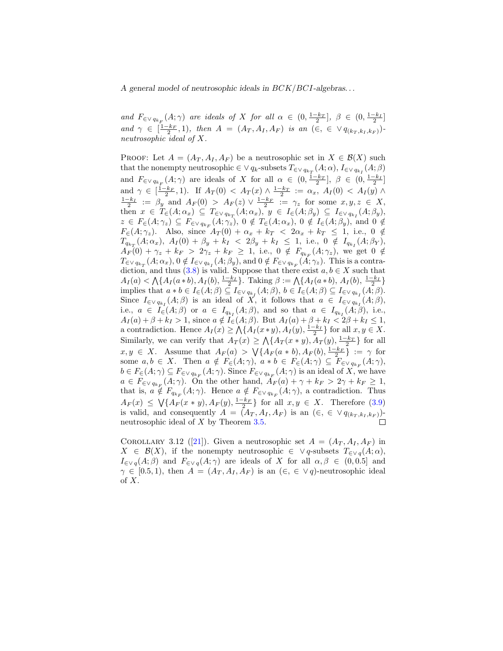and  $F_{\in \vee q_{k_F}}(A; \gamma)$  are ideals of X for all  $\alpha \in (0, \frac{1-k_T}{2}], \ \beta \in (0, \frac{1-k_I}{2}]$ and  $\gamma \in \left[\frac{1-k_F}{2}, 1\right)$ , then  $A = (A_T, A_I, A_F)$  is an  $(\in, \in \vee q_{(k_T, k_I, k_F)})$ neutrosophic ideal of X.

PROOF: Let  $A = (A_T, A_I, A_F)$  be a neutrosophic set in  $X \in \mathcal{B}(X)$  such that the nonempty neutrosophic  $\in \vee q_k$ -subsets  $T_{\in \vee q_{k_T}}(A; \alpha)$ ,  $I_{\in \vee q_{k_I}}(A; \beta)$ and  $F_{\in \vee q_{k_F}}(A;\gamma)$  are ideals of X for all  $\alpha \in (0, \frac{1-k_T}{2}], \beta \in (0, \frac{1-k_I}{2}]$ and  $\gamma \in \left[\frac{1-k_F}{2}, 1\right)$ . If  $A_T(0) < A_T(x) \wedge \frac{1-k_T}{2} := \alpha_x$ ,  $A_T(0) < A_T(y) \wedge$  $\frac{1-k_I}{2} := \beta_y$  and  $A_F(0) > A_F(z) \vee \frac{1-k_F}{2} := \gamma_z$  for some  $x, y, z \in X$ , then  $x \in T_{\in}(A; \alpha_x) \subseteq T_{\in \vee q_{k_T}}(A; \alpha_x), y \in I_{\in}(A; \beta_y) \subseteq I_{\in \vee q_{k_I}}(A; \beta_y),$  $z \in F_{\in}(A; \gamma_z) \subseteq F_{\in \vee q_{k_F}}(A; \gamma_z)$ ,  $0 \notin T_{\in}(A; \alpha_x)$ ,  $0 \notin I_{\in}(A; \beta_y)$ , and  $0 \notin$  $F_{\in}(A;\gamma_z)$ . Also, since  $A_T(0) + \alpha_x + k_T < 2\alpha_x + k_T \leq 1$ , i.e.,  $0 \notin$  $T_{q_{k_T}}(A; \alpha_x), A_I(0) + \beta_y + k_I \leq 2\beta_y + k_I \leq 1, \text{ i.e., } 0 \notin I_{q_{k_I}}(A; \beta_Y),$  $A_F(0) + \gamma_z + k_F > 2\gamma_z + k_F \ge 1$ , i.e.,  $0 \notin F_{q_{k_F}}(A; \gamma_z)$ , we get  $0 \notin$  $T_{\in\vee q_{k_T}}(A;\alpha_x), 0 \notin I_{\in\vee q_{k_I}}(A;\beta_y), \text{and } 0 \notin F_{\in\vee q_{k_F}}(A;\gamma_z)$ . This is a contra-diction, and thus [\(3.8\)](#page-7-0) is valid. Suppose that there exist  $a, b \in X$  such that  $A_I(a) < \bigwedge \{A_I(a * b), A_I(b), \frac{1-k_I}{2}\}\$ . Taking  $\beta := \bigwedge \{A_I(a * b), A_I(b), \frac{1-k_I}{2}\}\$ implies that  $a * b \in I_{\epsilon}(A;\beta) \subseteq I_{\epsilon \vee q_{k_I}}(A;\beta), b \in I_{\epsilon}(A;\beta) \subseteq I_{\epsilon \vee q_{k_I}}(A;\beta).$ Since  $I_{\in \vee q_{k_I}}(A;\beta)$  is an ideal of X, it follows that  $a \in I_{\in \vee q_{k_I}}(A;\beta)$ , i.e.,  $a \in I_{\in}(A;\beta)$  or  $a \in I_{q_{k_I}}(A;\beta)$ , and so that  $a \in I_{q_{k_I}}(A;\beta)$ , i.e.,  $A_I(a) + \beta + k_I > 1$ , since  $a \notin I_{\epsilon}(A;\beta)$ . But  $A_I(a) + \beta + k_I < 2\beta + k_I \leq 1$ , a contradiction. Hence  $A_I(x) \ge \bigwedge \{A_I(x*y), A_I(y), \frac{1-k_I}{2}\}$  for all  $x, y \in X$ . Similarly, we can verify that  $A_T(x) \geq \Lambda \{A_T(x*y), A_T(y), \frac{1-k_T}{2}\}\$ for all  $x, y \in X$ . Assume that  $A_F(a) > \sqrt{\{A_F(a * b), A_F(b), \frac{1-k_F}{2}} \} := \gamma$  for some  $a, b \in X$ . Then  $a \notin F_{\in}(A; \gamma)$ ,  $a * b \in F_{\in}(A; \gamma) \subseteq F_{\in \vee q_{k_F}}(A; \gamma)$ ,  $b \in F_{\in}(A; \gamma) \subseteq F_{\in \vee q_{k_F}}(A; \gamma)$ . Since  $F_{\in \vee q_{k_F}}(A; \gamma)$  is an ideal of X, we have  $a \in F_{\in \vee q_{k_F}}(A; \gamma)$ . On the other hand,  $\overline{A}_F(a) + \gamma + k_F > 2\gamma + k_F \geq 1$ , that is,  $a \notin F_{q_{k_F}}(A;\gamma)$ . Hence  $a \notin F_{\in \vee q_{k_F}}(A;\gamma)$ , a contradiction. Thus  $A_F(x) \leq \sqrt{A_F(x * y)}, A_F(y), \frac{1 - k_F}{2}$  for all  $x, y \in X$ . Therefore [\(3.9\)](#page-7-1) is valid, and consequently  $A = (A_T, A_I, A_F)$  is an  $(\in, \in \vee q_{(k_T, k_I, k_F)})$ neutrosophic ideal of X by Theorem [3.5.](#page-7-2)

COROLLARY 3.12 ([\[21\]](#page-15-4)). Given a neutrosophic set  $A = (A_T, A_I, A_F)$  in  $X \in \mathcal{B}(X)$ , if the nonempty neutrosophic  $\in \vee q$ -subsets  $T_{\in \vee q}(A; \alpha)$ ,  $I_{\in \vee q}(A;\beta)$  and  $F_{\in \vee q}(A;\gamma)$  are ideals of X for all  $\alpha,\beta \in (0,0.5]$  and  $\gamma \in [0.5, 1)$ , then  $A = (A_T, A_I, A_F)$  is an  $(\in, \in \vee q)$ -neutrosophic ideal of  $X$ .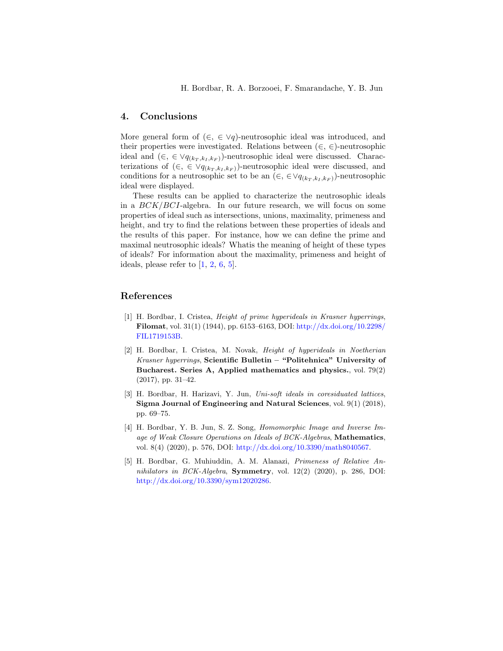H. Bordbar, R. A. Borzooei, F. Smarandache, Y. B. Jun

#### 4. Conclusions

More general form of  $(\in, \in \vee q)$ -neutrosophic ideal was introduced, and their properties were investigated. Relations between  $(\in, \in)$ -neutrosophic ideal and  $(\in, \in \vee q_{(k_T, k_T, k_F)})$ -neutrosophic ideal were discussed. Characterizations of  $(\in, \in \vee q_{(k_T, k_I, k_F)})$ -neutrosophic ideal were discussed, and conditions for a neutrosophic set to be an  $(\in, \in \forall q_{(k_T, k_L, k_F)})$ -neutrosophic ideal were displayed.

These results can be applied to characterize the neutrosophic ideals in a  $BCK/BCI$ -algebra. In our future research, we will focus on some properties of ideal such as intersections, unions, maximality, primeness and height, and try to find the relations between these properties of ideals and the results of this paper. For instance, how we can define the prime and maximal neutrosophic ideals? Whatis the meaning of height of these types of ideals? For information about the maximality, primeness and height of ideals, please refer to  $[1, 2, 6, 5]$  $[1, 2, 6, 5]$  $[1, 2, 6, 5]$  $[1, 2, 6, 5]$  $[1, 2, 6, 5]$  $[1, 2, 6, 5]$  $[1, 2, 6, 5]$ .

### References

- <span id="page-13-2"></span>[1] H. Bordbar, I. Cristea, Height of prime hyperideals in Krasner hyperrings, Filomat, vol. 31(1) (1944), pp. 6153-6163, DOI: [http://dx.doi.org/10.2298/](http://dx.doi.org/10.2298/FIL1719153B) [FIL1719153B.](http://dx.doi.org/10.2298/FIL1719153B)
- <span id="page-13-3"></span>[2] H. Bordbar, I. Cristea, M. Novak, Height of hyperideals in Noetherian Krasner hyperrings, Scientific Bulletin – "Politehnica" University of Bucharest. Series A, Applied mathematics and physics., vol. 79(2) (2017), pp. 31–42.
- <span id="page-13-0"></span>[3] H. Bordbar, H. Harizavi, Y. Jun, Uni-soft ideals in coresiduated lattices, Sigma Journal of Engineering and Natural Sciences, vol. 9(1) (2018), pp. 69–75.
- <span id="page-13-1"></span>[4] H. Bordbar, Y. B. Jun, S. Z. Song, Homomorphic Image and Inverse Image of Weak Closure Operations on Ideals of BCK-Algebras, Mathematics, vol. 8(4) (2020), p. 576, DOI: [http://dx.doi.org/10.3390/math8040567.](http://dx.doi.org/10.3390/math8040567)
- <span id="page-13-4"></span>[5] H. Bordbar, G. Muhiuddin, A. M. Alanazi, Primeness of Relative An $nihilators$  in BCK-Algebra, **Symmetry**, vol. 12(2) (2020), p. 286, DOI: [http://dx.doi.org/10.3390/sym12020286.](http://dx.doi.org/10.3390/sym12020286)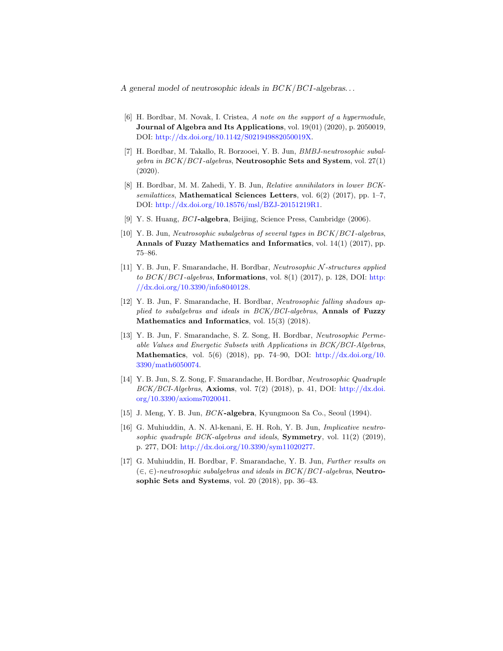- <span id="page-14-11"></span>[6] H. Bordbar, M. Novak, I. Cristea, A note on the support of a hypermodule, **Journal of Algebra and Its Applications**, vol.  $19(01)(2020)$ , p. 2050019, DOI: [http://dx.doi.org/10.1142/S021949882050019X.](http://dx.doi.org/10.1142/S021949882050019X)
- <span id="page-14-5"></span>[7] H. Bordbar, M. Takallo, R. Borzooei, Y. B. Jun, BMBJ-neutrosophic subal $qebra$  in  $BCK/BCI$ -algebras, Neutrosophic Sets and System, vol. 27(1) (2020).
- <span id="page-14-6"></span>[8] H. Bordbar, M. M. Zahedi, Y. B. Jun, Relative annihilators in lower BCKsemilattices, Mathematical Sciences Letters, vol.  $6(2)$  (2017), pp. 1–7, DOI: [http://dx.doi.org/10.18576/msl/BZJ-20151219R1.](http://dx.doi.org/10.18576/msl/BZJ-20151219R1)
- <span id="page-14-9"></span>[9] Y. S. Huang, BCI-algebra, Beijing, Science Press, Cambridge (2006).
- <span id="page-14-0"></span>[10] Y. B. Jun, Neutrosophic subalgebras of several types in BCK/BCI-algebras, Annals of Fuzzy Mathematics and Informatics, vol. 14(1) (2017), pp. 75–86.
- <span id="page-14-1"></span>[11] Y. B. Jun, F. Smarandache, H. Bordbar, Neutrosophic N -structures applied to  $BCK/BCI$ -algebras, Informations, vol. 8(1) (2017), p. 128, DOI: [http:](http://dx.doi.org/10.3390/info8040128) [//dx.doi.org/10.3390/info8040128.](http://dx.doi.org/10.3390/info8040128)
- <span id="page-14-7"></span>[12] Y. B. Jun, F. Smarandache, H. Bordbar, Neutrosophic falling shadows applied to subalgebras and ideals in  $BCK/BCI-algebras$ , Annals of Fuzzy Mathematics and Informatics, vol. 15(3) (2018).
- <span id="page-14-2"></span>[13] Y. B. Jun, F. Smarandache, S. Z. Song, H. Bordbar, Neutrosophic Permeable Values and Energetic Subsets with Applications in BCK/BCI-Algebras, Mathematics, vol. 5(6) (2018), pp. 74–90, DOI:  $\frac{\text{http://dx.doi.org/10.}}{\text{http://dx.doi.org/10.}}$  $\frac{\text{http://dx.doi.org/10.}}{\text{http://dx.doi.org/10.}}$  $\frac{\text{http://dx.doi.org/10.}}{\text{http://dx.doi.org/10.}}$ [3390/math6050074.](http://dx.doi.org/10.3390/math6050074)
- <span id="page-14-3"></span>[14] Y. B. Jun, S. Z. Song, F. Smarandache, H. Bordbar, Neutrosophic Quadruple  $BCK/BCI-Algebras$ , Axioms, vol. 7(2) (2018), p. 41, DOI: [http://dx.doi.](http://dx.doi.org/10.3390/axioms7020041) [org/10.3390/axioms7020041.](http://dx.doi.org/10.3390/axioms7020041)
- <span id="page-14-10"></span>[15] J. Meng, Y. B. Jun, BCK-algebra, Kyungmoon Sa Co., Seoul (1994).
- <span id="page-14-8"></span>[16] G. Muhiuddin, A. N. Al-kenani, E. H. Roh, Y. B. Jun, Implicative neutrosophic quadruple BCK-algebras and ideals, **Symmetry**, vol.  $11(2)$  (2019), p. 277, DOI: [http://dx.doi.org/10.3390/sym11020277.](http://dx.doi.org/10.3390/sym11020277)
- <span id="page-14-4"></span>[17] G. Muhiuddin, H. Bordbar, F. Smarandache, Y. B. Jun, Further results on  $(\in, \in)$ -neutrosophic subalgebras and ideals in BCK/BCI-algebras, Neutrosophic Sets and Systems, vol. 20 (2018), pp. 36–43.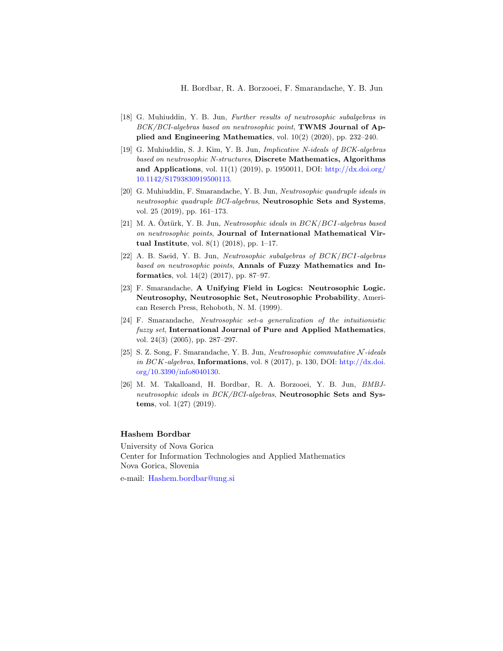- <span id="page-15-6"></span>[18] G. Muhiuddin, Y. B. Jun, Further results of neutrosophic subalgebras in BCK/BCI-algebras based on neutrosophic point, TWMS Journal of Applied and Engineering Mathematics, vol. 10(2) (2020), pp. 232–240.
- <span id="page-15-7"></span>[19] G. Muhiuddin, S. J. Kim, Y. B. Jun, Implicative N-ideals of BCK-algebras based on neutrosophic N-structures, Discrete Mathematics, Algorithms and Applications, vol. 11(1) (2019), p. 1950011, DOI: [http://dx.doi.org/](http://dx.doi.org/10.1142/S1793830919500113) [10.1142/S1793830919500113.](http://dx.doi.org/10.1142/S1793830919500113)
- <span id="page-15-8"></span>[20] G. Muhiuddin, F. Smarandache, Y. B. Jun, Neutrosophic quadruple ideals in neutrosophic quadruple BCI-algebras, Neutrosophic Sets and Systems, vol. 25 (2019), pp. 161–173.
- <span id="page-15-4"></span>[21] M. A. Öztürk, Y. B. Jun, Neutrosophic ideals in  $BCK/BCI$ -algebras based on neutrosophic points, Journal of International Mathematical Virtual Institute, vol.  $8(1)$  (2018), pp. 1–17.
- <span id="page-15-2"></span>[22] A. B. Saeid, Y. B. Jun, Neutrosophic subalgebras of BCK/BCI-algebras based on neutrosophic points, Annals of Fuzzy Mathematics and Informatics, vol. 14(2) (2017), pp. 87–97.
- <span id="page-15-0"></span>[23] F. Smarandache, A Unifying Field in Logics: Neutrosophic Logic. Neutrosophy, Neutrosophic Set, Neutrosophic Probability, American Reserch Press, Rehoboth, N. M. (1999).
- <span id="page-15-1"></span>[24] F. Smarandache, Neutrosophic set-a generalization of the intuitionistic fuzzy set, International Journal of Pure and Applied Mathematics, vol. 24(3) (2005), pp. 287–297.
- <span id="page-15-3"></span>[25] S. Z. Song, F. Smarandache, Y. B. Jun, Neutrosophic commutative  $N$ -ideals in  $BCK$ -algebras, Informations, vol. 8 (2017), p. 130, DOI: [http://dx.doi.](http://dx.doi.org/10.3390/info8040130) [org/10.3390/info8040130.](http://dx.doi.org/10.3390/info8040130)
- <span id="page-15-5"></span>[26] M. M. Takalloand, H. Bordbar, R. A. Borzooei, Y. B. Jun, BMBJneutrosophic ideals in BCK/BCI-algebras, Neutrosophic Sets and Systems, vol. 1(27) (2019).

#### Hashem Bordbar

University of Nova Gorica Center for Information Technologies and Applied Mathematics Nova Gorica, Slovenia

e-mail: <Hashem.bordbar@ung.si>